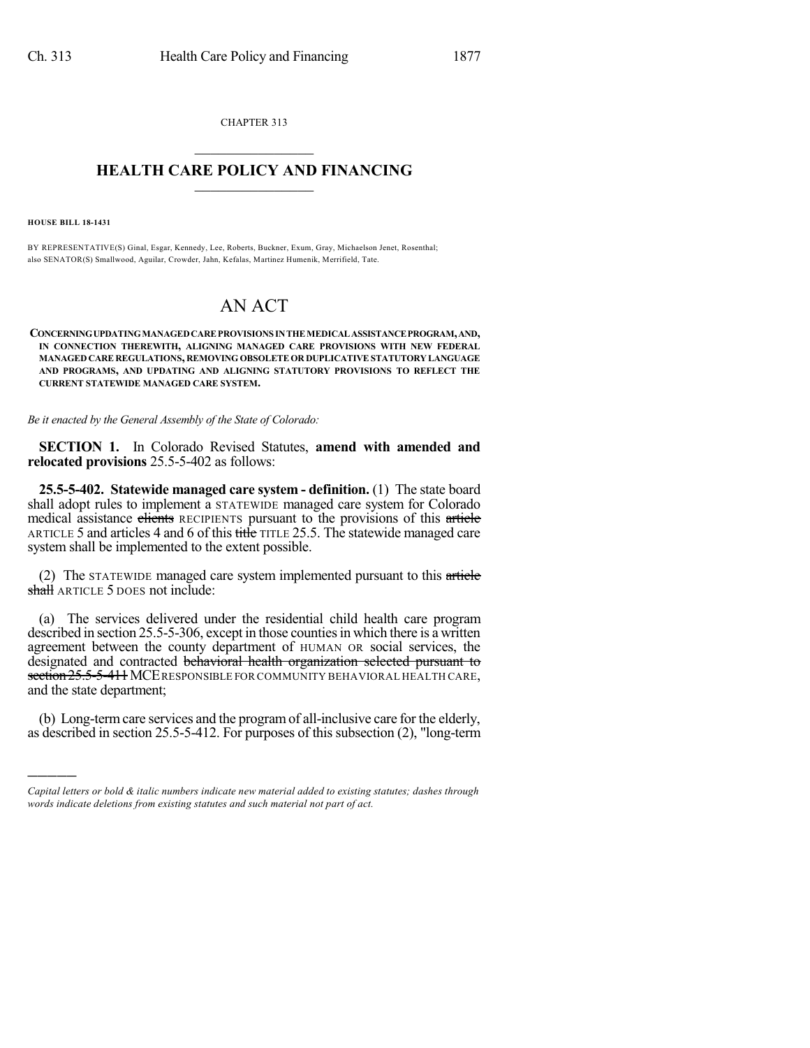CHAPTER 313  $\mathcal{L}_\text{max}$  . The set of the set of the set of the set of the set of the set of the set of the set of the set of the set of the set of the set of the set of the set of the set of the set of the set of the set of the set

## **HEALTH CARE POLICY AND FINANCING**  $\_$   $\_$   $\_$   $\_$   $\_$   $\_$   $\_$   $\_$

**HOUSE BILL 18-1431**

)))))

BY REPRESENTATIVE(S) Ginal, Esgar, Kennedy, Lee, Roberts, Buckner, Exum, Gray, Michaelson Jenet, Rosenthal; also SENATOR(S) Smallwood, Aguilar, Crowder, Jahn, Kefalas, Martinez Humenik, Merrifield, Tate.

## AN ACT

**CONCERNINGUPDATINGMANAGEDCAREPROVISIONS INTHEMEDICALASSISTANCEPROGRAM,AND, IN CONNECTION THEREWITH, ALIGNING MANAGED CARE PROVISIONS WITH NEW FEDERAL MANAGED CARE REGULATIONS, REMOVING OBSOLETE OR DUPLICATIVESTATUTORY LANGUAGE AND PROGRAMS, AND UPDATING AND ALIGNING STATUTORY PROVISIONS TO REFLECT THE CURRENT STATEWIDE MANAGED CARE SYSTEM.**

*Be it enacted by the General Assembly of the State of Colorado:*

**SECTION 1.** In Colorado Revised Statutes, **amend with amended and relocated provisions** 25.5-5-402 as follows:

**25.5-5-402. Statewide managed care system - definition.** (1) The state board shall adopt rules to implement a STATEWIDE managed care system for Colorado medical assistance elients RECIPIENTS pursuant to the provisions of this article ARTICLE 5 and articles 4 and 6 of this title TITLE 25.5. The statewide managed care system shall be implemented to the extent possible.

(2) The STATEWIDE managed care system implemented pursuant to this article shall ARTICLE 5 DOES not include:

(a) The services delivered under the residential child health care program described in section 25.5-5-306, except in those counties in which there is a written agreement between the county department of HUMAN OR social services, the designated and contracted behavioral health organization selected pursuant to section 25.5-5-411 MCE RESPONSIBLE FOR COMMUNITY BEHAVIORAL HEALTH CARE, and the state department;

(b) Long-termcare services and the programof all-inclusive care for the elderly, as described in section 25.5-5-412. For purposes of this subsection (2), "long-term

*Capital letters or bold & italic numbers indicate new material added to existing statutes; dashes through words indicate deletions from existing statutes and such material not part of act.*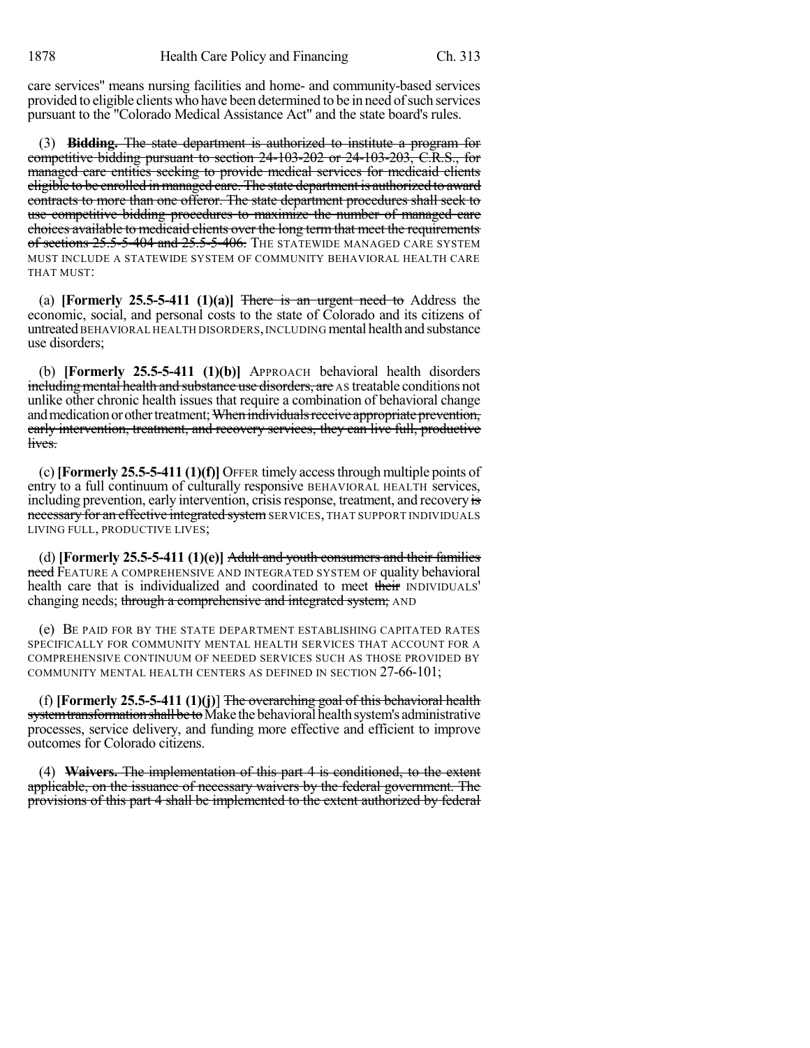care services" means nursing facilities and home- and community-based services provided to eligible clients who have been determined to be in need of such services pursuant to the "Colorado Medical Assistance Act" and the state board's rules.

(3) **Bidding.** The state department is authorized to institute a program for competitive bidding pursuant to section 24-103-202 or 24-103-203, C.R.S., for managed care entities seeking to provide medical services for medicaid clients eligible to be enrolled in managed care. The state department is authorized to award contracts to more than one offeror. The state department procedures shall seek to use competitive bidding procedures to maximize the number of managed care choices available to medicaid clients over the long term that meet the requirements of sections 25.5-5-404 and 25.5-5-406. The STATEWIDE MANAGED CARE SYSTEM MUST INCLUDE A STATEWIDE SYSTEM OF COMMUNITY BEHAVIORAL HEALTH CARE THAT MUST:

(a) **[Formerly 25.5-5-411 (1)(a)]** There is an urgent need to Address the economic, social, and personal costs to the state of Colorado and its citizens of untreated BEHAVIORAL HEALTH DISORDERS, INCLUDING mental health and substance use disorders;

(b) **[Formerly 25.5-5-411 (1)(b)]** APPROACH behavioral health disorders including mental health and substance use disorders, are AS treatable conditions not unlike other chronic health issues that require a combination of behavioral change and medication or other treatment; When individuals receive appropriate prevention, early intervention, treatment, and recovery services, they can live full, productive lives.

(c) **[Formerly 25.5-5-411 (1)(f)]** OFFER timely accessthrough multiple points of entry to a full continuum of culturally responsive BEHAVIORAL HEALTH services, including prevention, early intervention, crisis response, treatment, and recovery is necessary for an effective integrated system SERVICES, THAT SUPPORT INDIVIDUALS LIVING FULL, PRODUCTIVE LIVES;

(d) **[Formerly 25.5-5-411 (1)(e)]** Adult and youth consumers and their families need FEATURE A COMPREHENSIVE AND INTEGRATED SYSTEM OF quality behavioral health care that is individualized and coordinated to meet their INDIVIDUALS' changing needs; through a comprehensive and integrated system; AND

(e) BE PAID FOR BY THE STATE DEPARTMENT ESTABLISHING CAPITATED RATES SPECIFICALLY FOR COMMUNITY MENTAL HEALTH SERVICES THAT ACCOUNT FOR A COMPREHENSIVE CONTINUUM OF NEEDED SERVICES SUCH AS THOSE PROVIDED BY COMMUNITY MENTAL HEALTH CENTERS AS DEFINED IN SECTION 27-66-101;

(f) **[Formerly 25.5-5-411 (1)(j)**] The overarching goal of this behavioral health system transformation shall be to Make the behavioral health system's administrative processes, service delivery, and funding more effective and efficient to improve outcomes for Colorado citizens.

(4) **Waivers.** The implementation of this part 4 is conditioned, to the extent applicable, on the issuance of necessary waivers by the federal government. The provisions of this part 4 shall be implemented to the extent authorized by federal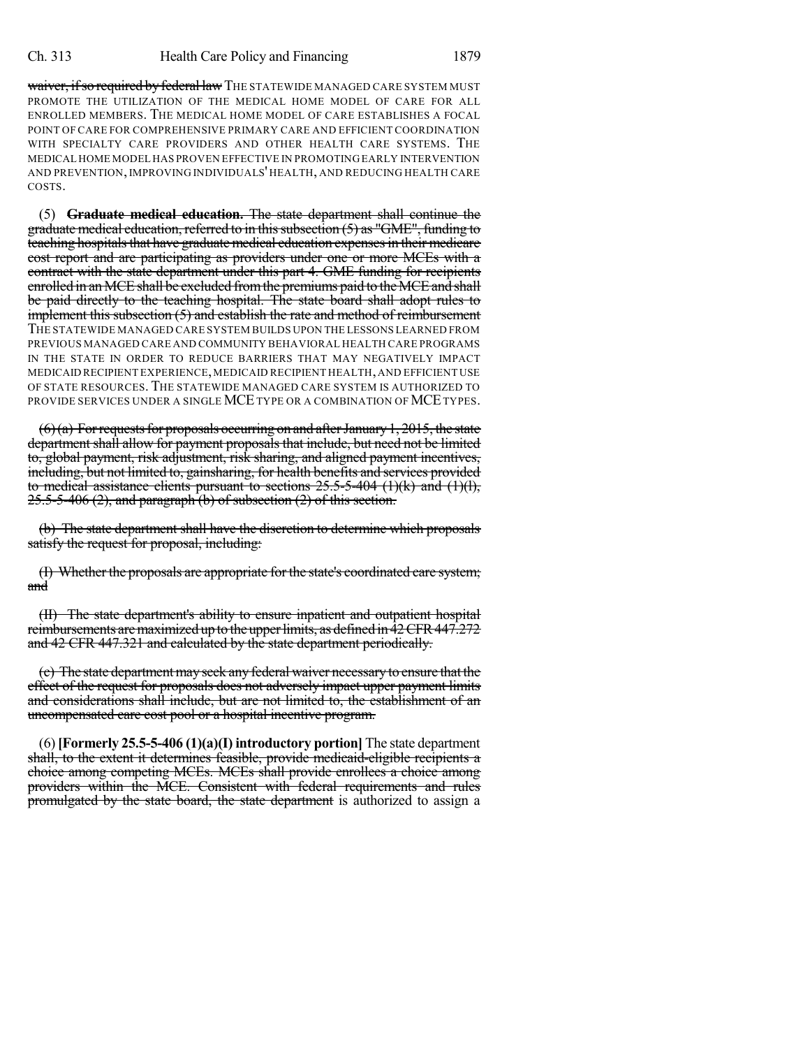waiver, if so required by federal law THE STATEWIDE MANAGED CARE SYSTEM MUST PROMOTE THE UTILIZATION OF THE MEDICAL HOME MODEL OF CARE FOR ALL ENROLLED MEMBERS. THE MEDICAL HOME MODEL OF CARE ESTABLISHES A FOCAL POINT OF CARE FOR COMPREHENSIVE PRIMARY CARE AND EFFICIENT COORDINATION WITH SPECIALTY CARE PROVIDERS AND OTHER HEALTH CARE SYSTEMS. THE MEDICAL HOME MODEL HAS PROVEN EFFECTIVE IN PROMOTING EARLY INTERVENTION AND PREVENTION, IMPROVING INDIVIDUALS' HEALTH, AND REDUCING HEALTH CARE COSTS.

(5) **Graduate medical education.** The state department shall continue the graduate medical education, referred to in this subsection  $(5)$  as "GME", funding to teaching hospitals that have graduate medical education expenses in their medicare cost report and are participating as providers under one or more MCEs with a contract with the state department under this part 4. GME funding for recipients enrolled in an MCE shall be excluded from the premiums paid to the MCE and shall be paid directly to the teaching hospital. The state board shall adopt rules to implement this subsection (5) and establish the rate and method of reimbursement THE STATEWIDE MANAGED CARE SYSTEM BUILDS UPON THE LESSONS LEARNED FROM PREVIOUS MANAGED CARE AND COMMUNITY BEHAVIORAL HEALTH CARE PROGRAMS IN THE STATE IN ORDER TO REDUCE BARRIERS THAT MAY NEGATIVELY IMPACT MEDICAID RECIPIENT EXPERIENCE,MEDICAID RECIPIENT HEALTH,AND EFFICIENT USE OF STATE RESOURCES.THE STATEWIDE MANAGED CARE SYSTEM IS AUTHORIZED TO PROVIDE SERVICES UNDER A SINGLE MCE TYPE OR A COMBINATION OF MCE TYPES.

 $(6)$ (a) For requests for proposals occurring on and after January 1, 2015, the state department shall allow for payment proposals that include, but need not be limited to, global payment, risk adjustment, risk sharing, and aligned payment incentives, including, but not limited to, gainsharing, for health benefits and services provided to medical assistance clients pursuant to sections  $25.5-5-404$  (1)(k) and (1)(l), 25.5-5-406 (2), and paragraph (b) of subsection (2) of this section.

(b) The state department shall have the discretion to determine which proposals satisfy the request for proposal, including:

(I) Whether the proposals are appropriate for the state's coordinated care system; and

(II) The state department's ability to ensure inpatient and outpatient hospital reimbursements are maximized up to the upper limits, as defined in 42 CFR 447.272 and 42 CFR 447.321 and calculated by the state department periodically.

(c) The state departmentmayseek any federal waiver necessary to ensure that the effect of the request for proposals does not adversely impact upper payment limits and considerations shall include, but are not limited to, the establishment of an uncompensated care cost pool or a hospital incentive program.

(6)**[Formerly 25.5-5-406 (1)(a)(I) introductory portion]** The state department shall, to the extent it determines feasible, provide medicaid-eligible recipients a choice among competing MCEs. MCEs shall provide enrollees a choice among providers within the MCE. Consistent with federal requirements and rules promulgated by the state board, the state department is authorized to assign a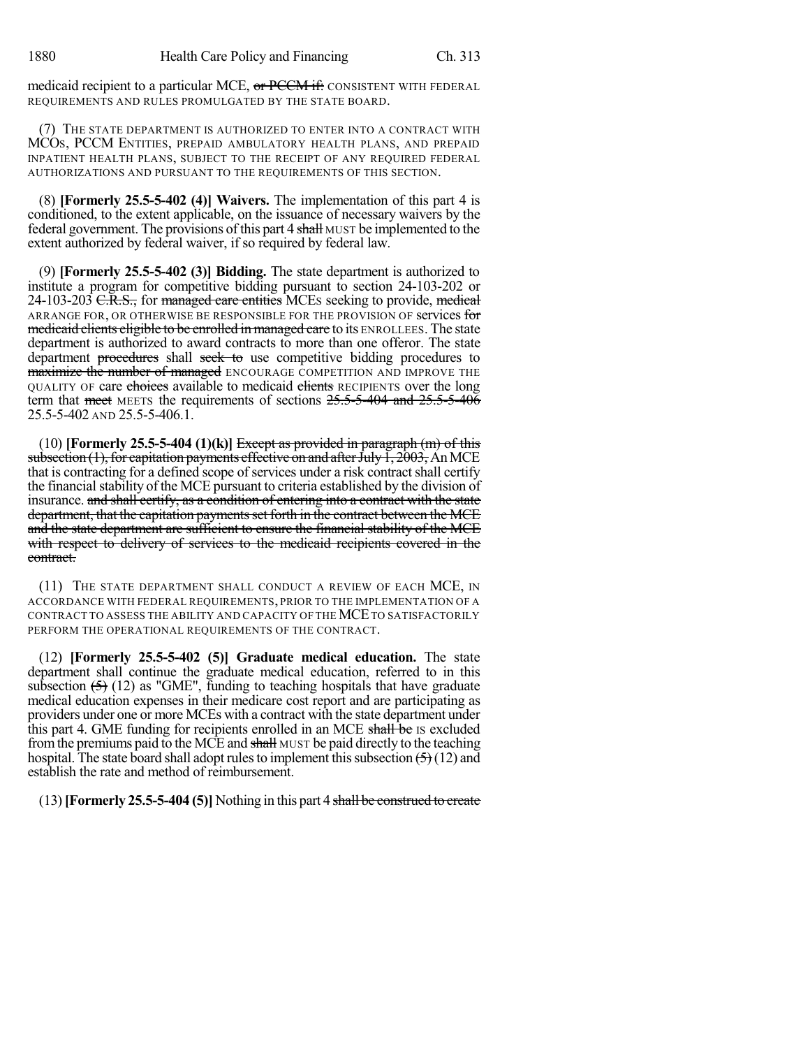medicaid recipient to a particular MCE, or PCCM if: CONSISTENT WITH FEDERAL REQUIREMENTS AND RULES PROMULGATED BY THE STATE BOARD.

(7) THE STATE DEPARTMENT IS AUTHORIZED TO ENTER INTO A CONTRACT WITH MCOS, PCCM ENTITIES, PREPAID AMBULATORY HEALTH PLANS, AND PREPAID INPATIENT HEALTH PLANS, SUBJECT TO THE RECEIPT OF ANY REQUIRED FEDERAL AUTHORIZATIONS AND PURSUANT TO THE REQUIREMENTS OF THIS SECTION.

(8) **[Formerly 25.5-5-402 (4)] Waivers.** The implementation of this part 4 is conditioned, to the extent applicable, on the issuance of necessary waivers by the federal government. The provisions of this part 4 shall MUST be implemented to the extent authorized by federal waiver, if so required by federal law.

(9) **[Formerly 25.5-5-402 (3)] Bidding.** The state department is authorized to institute a program for competitive bidding pursuant to section 24-103-202 or 24-103-203 <del>C.R.S.,</del> for managed care entities MCEs seeking to provide, medical ARRANGE FOR, OR OTHERWISE BE RESPONSIBLE FOR THE PROVISION OF services for medicaid clients eligible to be enrolled in managed care to its ENROLLEES. The state department is authorized to award contracts to more than one offeror. The state department procedures shall seek to use competitive bidding procedures to maximize the number of managed ENCOURAGE COMPETITION AND IMPROVE THE QUALITY OF care choices available to medicaid clients RECIPIENTS over the long term that meet MEETS the requirements of sections  $25.5-5-404$  and  $25.5-5-406$ 25.5-5-402 AND 25.5-5-406.1.

 $(10)$  **[Formerly 25.5-5-404 (1)(k)]** Except as provided in paragraph  $(m)$  of this subsection (1), for capitation payments effective on and after July  $\overline{1}$ , 2003, An MCE that is contracting for a defined scope of services under a risk contract shall certify the financial stability of the MCE pursuant to criteria established by the division of insurance. and shall certify, as a condition of entering into a contract with the state department, that the capitation payments set forth in the contract between the MCE and the state department are sufficient to ensure the financial stability of the MCE with respect to delivery of services to the medicaid recipients covered in the contract.

(11) THE STATE DEPARTMENT SHALL CONDUCT A REVIEW OF EACH MCE, IN ACCORDANCE WITH FEDERAL REQUIREMENTS, PRIOR TO THE IMPLEMENTATION OF A CONTRACT TO ASSESS THE ABILITY AND CAPACITY OF THE MCETO SATISFACTORILY PERFORM THE OPERATIONAL REQUIREMENTS OF THE CONTRACT.

(12) **[Formerly 25.5-5-402 (5)] Graduate medical education.** The state department shall continue the graduate medical education, referred to in this subsection  $(5)$  (12) as "GME", funding to teaching hospitals that have graduate medical education expenses in their medicare cost report and are participating as providers under one or more MCEs with a contract with the state department under this part 4. GME funding for recipients enrolled in an MCE shall be is excluded fromthe premiums paid to the MCE and shall MUST be paid directly to the teaching hospital. The state board shall adopt rules to implement this subsection  $\left(\frac{5}{2}\right)$  (12) and establish the rate and method of reimbursement.

(13)**[Formerly 25.5-5-404 (5)]** Nothing in this part 4 shall be construed to create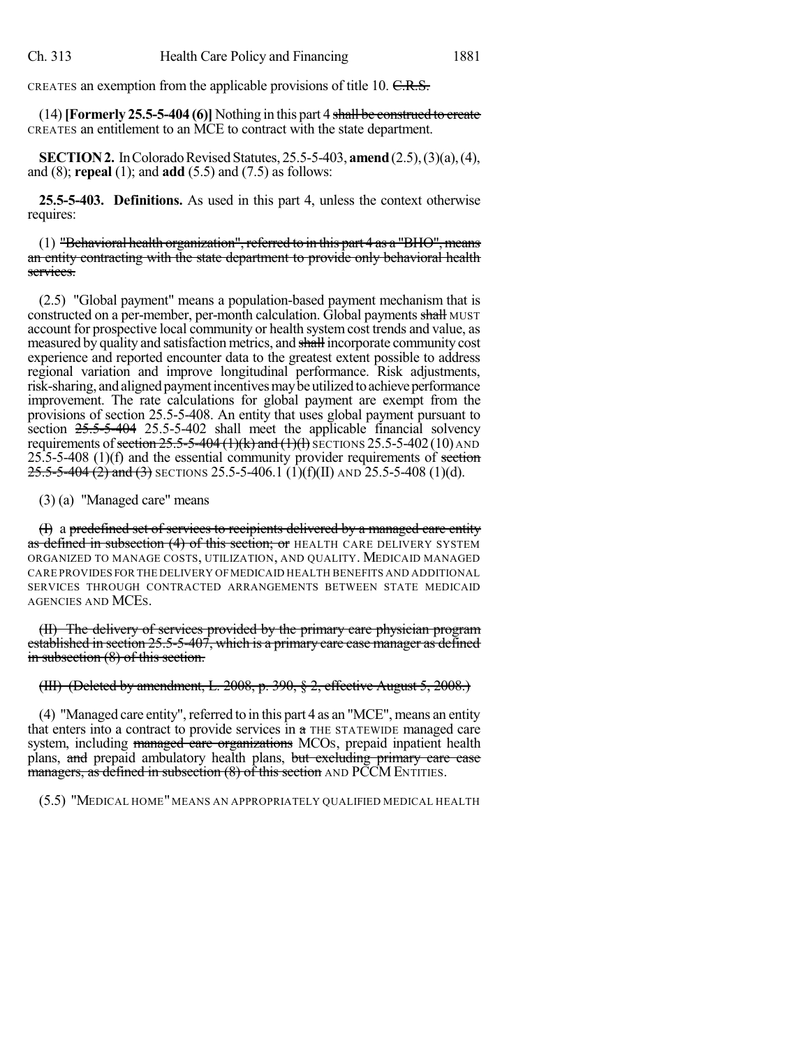CREATES an exemption from the applicable provisions of title 10. C.R.S.

(14)**[Formerly 25.5-5-404 (6)]** Nothing in this part 4 shall be construed to create CREATES an entitlement to an MCE to contract with the state department.

**SECTION 2.** In Colorado Revised Statutes, 25.5-5-403, **amend** (2.5), (3)(a), (4), and (8); **repeal** (1); and **add** (5.5) and (7.5) as follows:

**25.5-5-403. Definitions.** As used in this part 4, unless the context otherwise requires:

(1) "Behavioral health organization", referred to in this part 4 as a "BHO", means an entity contracting with the state department to provide only behavioral health services.

(2.5) "Global payment" means a population-based payment mechanism that is constructed on a per-member, per-month calculation. Global payments shall MUST account for prospective local community or health systemcost trends and value, as measured by quality and satisfaction metrics, and shall incorporate community cost experience and reported encounter data to the greatest extent possible to address regional variation and improve longitudinal performance. Risk adjustments, risk-sharing, and aligned payment incentives may be utilized to achieve performance improvement. The rate calculations for global payment are exempt from the provisions of section 25.5-5-408. An entity that uses global payment pursuant to section  $25.5-5-404$  25.5-5-402 shall meet the applicable financial solvency requirements of section  $25.5-5-404$  (1)(k) and (1)(l) SECTIONS 25.5-5-402 (10) AND  $25.5-5-408$  (1)(f) and the essential community provider requirements of section 25.5-5-404 (2) and (3) SECTIONS 25.5-5-406.1 (1)(f)(II) AND 25.5-5-408 (1)(d).

(3) (a) "Managed care" means

(I) a predefined set of services to recipients delivered by a managed care entity as defined in subsection (4) of this section; or HEALTH CARE DELIVERY SYSTEM ORGANIZED TO MANAGE COSTS, UTILIZATION, AND QUALITY. MEDICAID MANAGED CARE PROVIDES FOR THE DELIVERY OFMEDICAID HEALTH BENEFITS AND ADDITIONAL SERVICES THROUGH CONTRACTED ARRANGEMENTS BETWEEN STATE MEDICAID AGENCIES AND MCES.

(II) The delivery of services provided by the primary care physician program established in section 25.5-5-407, which is a primary care case manager as defined in subsection  $(8)$  of this section.

(III) (Deleted by amendment, L. 2008, p. 390, § 2, effective August 5, 2008.)

 $(4)$  "Managed care entity", referred to in this part 4 as an "MCE", means an entity that enters into a contract to provide services in  $\alpha$  THE STATEWIDE managed care system, including managed care organizations MCOs, prepaid inpatient health plans, and prepaid ambulatory health plans, but excluding primary care case managers, as defined in subsection (8) of this section AND PCCM ENTITIES.

(5.5) "MEDICAL HOME" MEANS AN APPROPRIATELY QUALIFIED MEDICAL HEALTH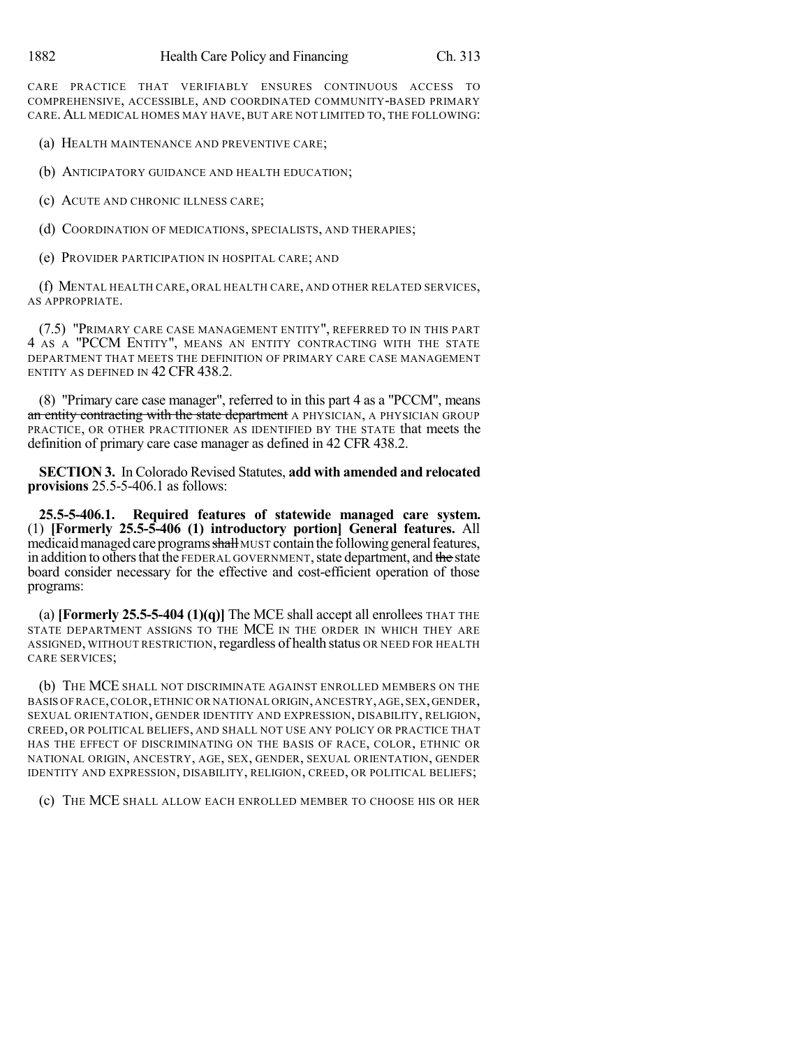CARE PRACTICE THAT VERIFIABLY ENSURES CONTINUOUS ACCESS TO COMPREHENSIVE, ACCESSIBLE, AND COORDINATED COMMUNITY-BASED PRIMARY CARE.ALL MEDICAL HOMES MAY HAVE, BUT ARE NOT LIMITED TO, THE FOLLOWING:

(a) HEALTH MAINTENANCE AND PREVENTIVE CARE;

(b) ANTICIPATORY GUIDANCE AND HEALTH EDUCATION;

(c) ACUTE AND CHRONIC ILLNESS CARE;

(d) COORDINATION OF MEDICATIONS, SPECIALISTS, AND THERAPIES;

(e) PROVIDER PARTICIPATION IN HOSPITAL CARE; AND

(f) MENTAL HEALTH CARE, ORAL HEALTH CARE, AND OTHER RELATED SERVICES, AS APPROPRIATE.

(7.5) "PRIMARY CARE CASE MANAGEMENT ENTITY", REFERRED TO IN THIS PART 4 AS A "PCCM ENTITY", MEANS AN ENTITY CONTRACTING WITH THE STATE DEPARTMENT THAT MEETS THE DEFINITION OF PRIMARY CARE CASE MANAGEMENT ENTITY AS DEFINED IN 42 CFR 438.2.

(8) "Primary care case manager", referred to in this part 4 as a "PCCM", means an entity contracting with the state department A PHYSICIAN, A PHYSICIAN GROUP PRACTICE, OR OTHER PRACTITIONER AS IDENTIFIED BY THE STATE that meets the definition of primary care case manager as defined in 42 CFR 438.2.

**SECTION 3.** In Colorado Revised Statutes, **add with amended and relocated provisions** 25.5-5-406.1 as follows:

**25.5-5-406.1. Required features of statewide managed care system.** (1) **[Formerly 25.5-5-406 (1) introductory portion] General features.** All medicaid managed care programs shall MUST contain the following general features, in addition to others that the FEDERAL GOVERNMENT, state department, and the state board consider necessary for the effective and cost-efficient operation of those programs:

(a) **[Formerly 25.5-5-404 (1)(q)]** The MCE shall accept all enrollees THAT THE STATE DEPARTMENT ASSIGNS TO THE MCE IN THE ORDER IN WHICH THEY ARE ASSIGNED, WITHOUT RESTRICTION, regardless of health status OR NEED FOR HEALTH CARE SERVICES;

(b) THE MCE SHALL NOT DISCRIMINATE AGAINST ENROLLED MEMBERS ON THE BASIS OFRACE,COLOR,ETHNIC OR NATIONAL ORIGIN,ANCESTRY,AGE,SEX,GENDER, SEXUAL ORIENTATION, GENDER IDENTITY AND EXPRESSION, DISABILITY, RELIGION, CREED, OR POLITICAL BELIEFS, AND SHALL NOT USE ANY POLICY OR PRACTICE THAT HAS THE EFFECT OF DISCRIMINATING ON THE BASIS OF RACE, COLOR, ETHNIC OR NATIONAL ORIGIN, ANCESTRY, AGE, SEX, GENDER, SEXUAL ORIENTATION, GENDER IDENTITY AND EXPRESSION, DISABILITY, RELIGION, CREED, OR POLITICAL BELIEFS;

(c) THE MCE SHALL ALLOW EACH ENROLLED MEMBER TO CHOOSE HIS OR HER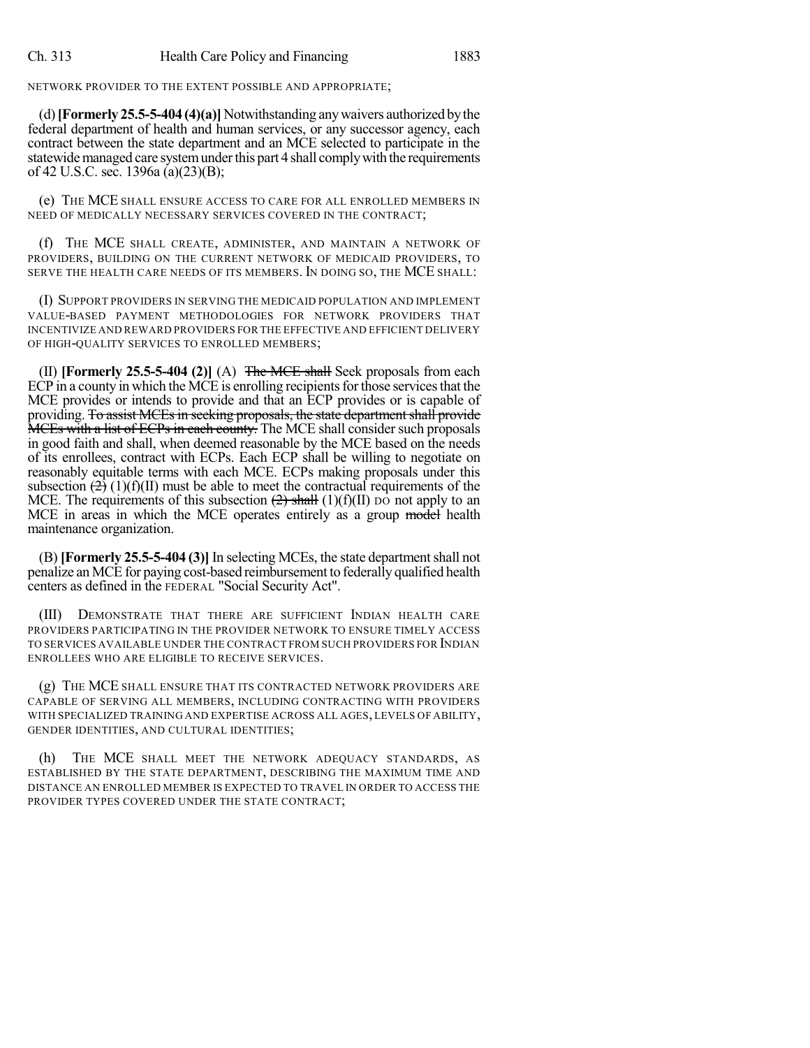NETWORK PROVIDER TO THE EXTENT POSSIBLE AND APPROPRIATE;

(d)**[Formerly 25.5-5-404 (4)(a)]** Notwithstanding anywaivers authorized bythe federal department of health and human services, or any successor agency, each contract between the state department and an MCE selected to participate in the statewide managed care system under this part 4 shall comply with the requirements of 42 U.S.C. sec. 1396a (a)(23)(B);

(e) THE MCE SHALL ENSURE ACCESS TO CARE FOR ALL ENROLLED MEMBERS IN NEED OF MEDICALLY NECESSARY SERVICES COVERED IN THE CONTRACT;

(f) THE MCE SHALL CREATE, ADMINISTER, AND MAINTAIN A NETWORK OF PROVIDERS, BUILDING ON THE CURRENT NETWORK OF MEDICAID PROVIDERS, TO SERVE THE HEALTH CARE NEEDS OF ITS MEMBERS. IN DOING SO, THE MCE SHALL:

(I) SUPPORT PROVIDERS IN SERVING THE MEDICAID POPULATION AND IMPLEMENT VALUE-BASED PAYMENT METHODOLOGIES FOR NETWORK PROVIDERS THAT INCENTIVIZE AND REWARD PROVIDERS FOR THE EFFECTIVE AND EFFICIENT DELIVERY OF HIGH-QUALITY SERVICES TO ENROLLED MEMBERS;

(II) **[Formerly 25.5-5-404 (2)]** (A) The MCE shall Seek proposals from each ECP in a county in which the MCE is enrolling recipients for those services that the MCE provides or intends to provide and that an ECP provides or is capable of providing. To assist MCEs in seeking proposals, the state department shall provide MCEs with a list of ECPs in each county. The MCE shall consider such proposals in good faith and shall, when deemed reasonable by the MCE based on the needs of its enrollees, contract with ECPs. Each ECP shall be willing to negotiate on reasonably equitable terms with each MCE. ECPs making proposals under this subsection  $\left(\frac{1}{2}\right)(1)(f)(II)$  must be able to meet the contractual requirements of the MCE. The requirements of this subsection  $(2)$  shall  $(1)(f)(II)$  po not apply to an MCE in areas in which the MCE operates entirely as a group model health maintenance organization.

(B) **[Formerly 25.5-5-404 (3)]** In selecting MCEs, the state departmentshall not penalize an MCE for paying cost-based reimbursement to federally qualified health centers as defined in the FEDERAL "Social Security Act".

(III) DEMONSTRATE THAT THERE ARE SUFFICIENT INDIAN HEALTH CARE PROVIDERS PARTICIPATING IN THE PROVIDER NETWORK TO ENSURE TIMELY ACCESS TO SERVICES AVAILABLE UNDER THE CONTRACT FROM SUCH PROVIDERS FOR INDIAN ENROLLEES WHO ARE ELIGIBLE TO RECEIVE SERVICES.

(g) THE MCE SHALL ENSURE THAT ITS CONTRACTED NETWORK PROVIDERS ARE CAPABLE OF SERVING ALL MEMBERS, INCLUDING CONTRACTING WITH PROVIDERS WITH SPECIALIZED TRAINING AND EXPERTISE ACROSS ALL AGES, LEVELS OF ABILITY, GENDER IDENTITIES, AND CULTURAL IDENTITIES;

(h) THE MCE SHALL MEET THE NETWORK ADEQUACY STANDARDS, AS ESTABLISHED BY THE STATE DEPARTMENT, DESCRIBING THE MAXIMUM TIME AND DISTANCE AN ENROLLED MEMBER IS EXPECTED TO TRAVEL IN ORDER TO ACCESS THE PROVIDER TYPES COVERED UNDER THE STATE CONTRACT;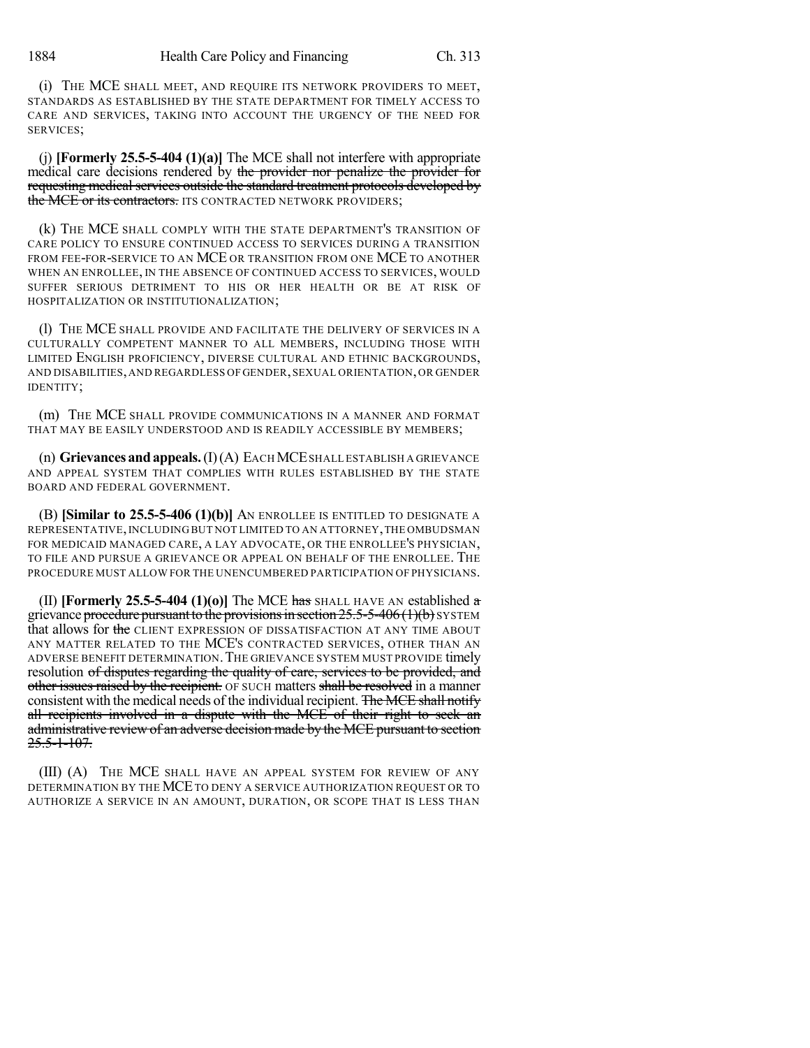(i) THE MCE SHALL MEET, AND REQUIRE ITS NETWORK PROVIDERS TO MEET, STANDARDS AS ESTABLISHED BY THE STATE DEPARTMENT FOR TIMELY ACCESS TO CARE AND SERVICES, TAKING INTO ACCOUNT THE URGENCY OF THE NEED FOR SERVICES;

(j) **[Formerly 25.5-5-404 (1)(a)]** The MCE shall not interfere with appropriate medical care decisions rendered by the provider nor penalize the provider for requesting medical services outside the standard treatment protocols developed by the MCE or its contractors. ITS CONTRACTED NETWORK PROVIDERS;

(k) THE MCE SHALL COMPLY WITH THE STATE DEPARTMENT'S TRANSITION OF CARE POLICY TO ENSURE CONTINUED ACCESS TO SERVICES DURING A TRANSITION FROM FEE-FOR-SERVICE TO AN MCE OR TRANSITION FROM ONE MCE TO ANOTHER WHEN AN ENROLLEE, IN THE ABSENCE OF CONTINUED ACCESS TO SERVICES, WOULD SUFFER SERIOUS DETRIMENT TO HIS OR HER HEALTH OR BE AT RISK OF HOSPITALIZATION OR INSTITUTIONALIZATION;

(l) THE MCE SHALL PROVIDE AND FACILITATE THE DELIVERY OF SERVICES IN A CULTURALLY COMPETENT MANNER TO ALL MEMBERS, INCLUDING THOSE WITH LIMITED ENGLISH PROFICIENCY, DIVERSE CULTURAL AND ETHNIC BACKGROUNDS, AND DISABILITIES,AND REGARDLESS OFGENDER,SEXUAL ORIENTATION,OR GENDER IDENTITY;

(m) THE MCE SHALL PROVIDE COMMUNICATIONS IN A MANNER AND FORMAT THAT MAY BE EASILY UNDERSTOOD AND IS READILY ACCESSIBLE BY MEMBERS;

(n) **Grievances andappeals.**(I)(A) EACHMCESHALL ESTABLISH A GRIEVANCE AND APPEAL SYSTEM THAT COMPLIES WITH RULES ESTABLISHED BY THE STATE BOARD AND FEDERAL GOVERNMENT.

(B) **[Similar to 25.5-5-406 (1)(b)]** AN ENROLLEE IS ENTITLED TO DESIGNATE A REPRESENTATIVE,INCLUDING BUT NOT LIMITED TO AN ATTORNEY,THE OMBUDSMAN FOR MEDICAID MANAGED CARE, A LAY ADVOCATE, OR THE ENROLLEE'S PHYSICIAN, TO FILE AND PURSUE A GRIEVANCE OR APPEAL ON BEHALF OF THE ENROLLEE. THE PROCEDURE MUST ALLOW FOR THE UNENCUMBERED PARTICIPATION OF PHYSICIANS.

**(II) [Formerly 25.5-5-404 (1)(o)] The MCE has SHALL HAVE AN established**  $\alpha$ grievance procedure pursuant to the provisions in section  $25.5-5-406(1)(b)$  SYSTEM that allows for the CLIENT EXPRESSION OF DISSATISFACTION AT ANY TIME ABOUT ANY MATTER RELATED TO THE MCE'S CONTRACTED SERVICES, OTHER THAN AN ADVERSE BENEFIT DETERMINATION.THE GRIEVANCE SYSTEM MUST PROVIDE timely resolution of disputes regarding the quality of care, services to be provided, and other issues raised by the recipient. OF SUCH matters shall be resolved in a manner consistent with the medical needs of the individual recipient. The MCE shall notify all recipients involved in a dispute with the MCE of their right to seek an administrative review of an adverse decision made by the MCE pursuant to section  $25.5 - 1 - 107.$ 

(III) (A) THE MCE SHALL HAVE AN APPEAL SYSTEM FOR REVIEW OF ANY DETERMINATION BY THE MCETO DENY A SERVICE AUTHORIZATION REQUEST OR TO AUTHORIZE A SERVICE IN AN AMOUNT, DURATION, OR SCOPE THAT IS LESS THAN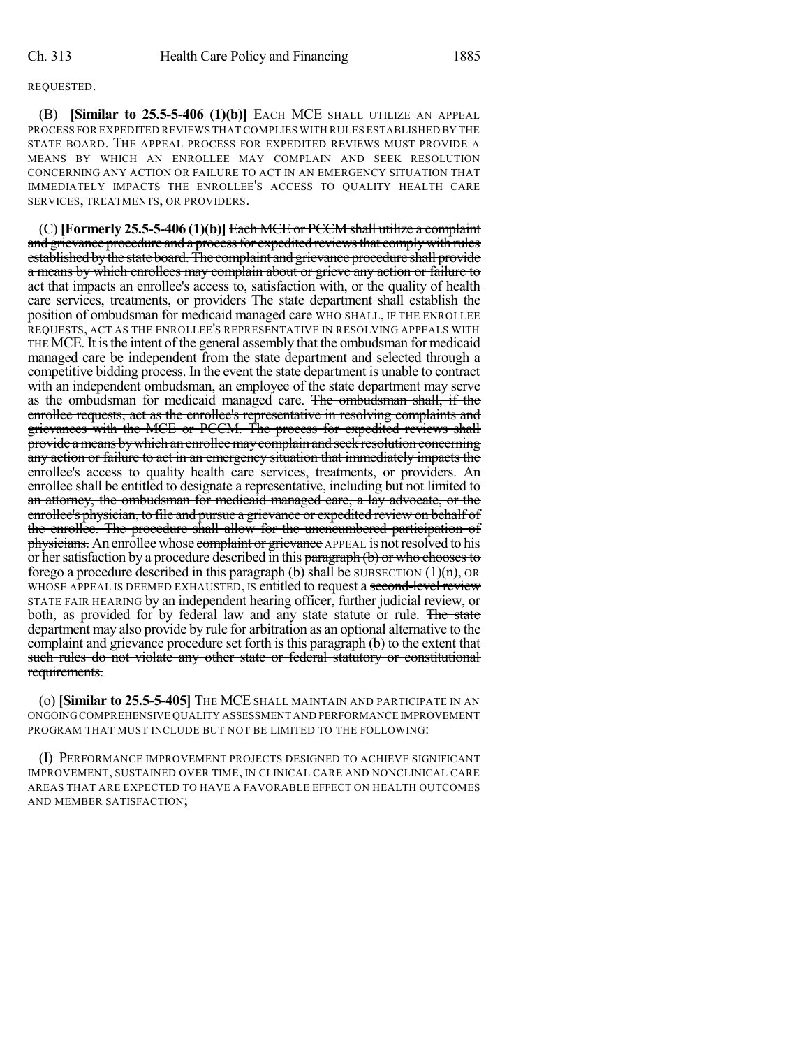## REQUESTED.

(B) **[Similar to 25.5-5-406 (1)(b)]** EACH MCE SHALL UTILIZE AN APPEAL PROCESS FOR EXPEDITED REVIEWS THAT COMPLIES WITH RULES ESTABLISHED BY THE STATE BOARD. THE APPEAL PROCESS FOR EXPEDITED REVIEWS MUST PROVIDE A MEANS BY WHICH AN ENROLLEE MAY COMPLAIN AND SEEK RESOLUTION CONCERNING ANY ACTION OR FAILURE TO ACT IN AN EMERGENCY SITUATION THAT IMMEDIATELY IMPACTS THE ENROLLEE'S ACCESS TO QUALITY HEALTH CARE SERVICES, TREATMENTS, OR PROVIDERS.

(C) **[Formerly 25.5-5-406 (1)(b)]** Each MCE or PCCM shall utilize a complaint and grievance procedure and a process for expedited reviews that comply with rules established by the state board. The complaint and grievance procedure shall provide a means by which enrollees may complain about or grieve any action or failure to act that impacts an enrollee's access to, satisfaction with, or the quality of health care services, treatments, or providers The state department shall establish the position of ombudsman for medicaid managed care WHO SHALL, IF THE ENROLLEE REQUESTS, ACT AS THE ENROLLEE'S REPRESENTATIVE IN RESOLVING APPEALS WITH THE MCE. It isthe intent of the general assembly that the ombudsman for medicaid managed care be independent from the state department and selected through a competitive bidding process. In the event the state department is unable to contract with an independent ombudsman, an employee of the state department may serve as the ombudsman for medicaid managed care. The ombudsman shall, if the enrollee requests, act as the enrollee's representative in resolving complaints and grievances with the MCE or PCCM. The process for expedited reviews shall provide a means by which an enrollee may complain and seek resolution concerning any action or failure to act in an emergency situation that immediately impacts the enrollee's access to quality health care services, treatments, or providers. An enrollee shall be entitled to designate a representative, including but not limited to an attorney, the ombudsman for medicaid managed care, a lay advocate, or the enrollee's physician, to file and pursue a grievance or expedited review on behalf of the enrollee. The procedure shall allow for the unencumbered participation of physicians. An enrollee whose complaint or grievance APPEAL is not resolved to his or her satisfaction by a procedure described in this paragraph (b) or who chooses to forego a procedure described in this paragraph  $(b)$  shall be SUBSECTION  $(1)(n)$ , OR WHOSE APPEAL IS DEEMED EXHAUSTED, IS entitled to request a second-level review STATE FAIR HEARING by an independent hearing officer, further judicial review, or both, as provided for by federal law and any state statute or rule. The state department may also provide by rule for arbitration as an optional alternative to the complaint and grievance procedure set forth is this paragraph (b) to the extent that such rules do not violate any other state or federal statutory or constitutional requirements.

(o) **[Similar to 25.5-5-405]** THE MCE SHALL MAINTAIN AND PARTICIPATE IN AN ONGOINGCOMPREHENSIVE QUALITY ASSESSMENT AND PERFORMANCE IMPROVEMENT PROGRAM THAT MUST INCLUDE BUT NOT BE LIMITED TO THE FOLLOWING:

(I) PERFORMANCE IMPROVEMENT PROJECTS DESIGNED TO ACHIEVE SIGNIFICANT IMPROVEMENT, SUSTAINED OVER TIME, IN CLINICAL CARE AND NONCLINICAL CARE AREAS THAT ARE EXPECTED TO HAVE A FAVORABLE EFFECT ON HEALTH OUTCOMES AND MEMBER SATISFACTION;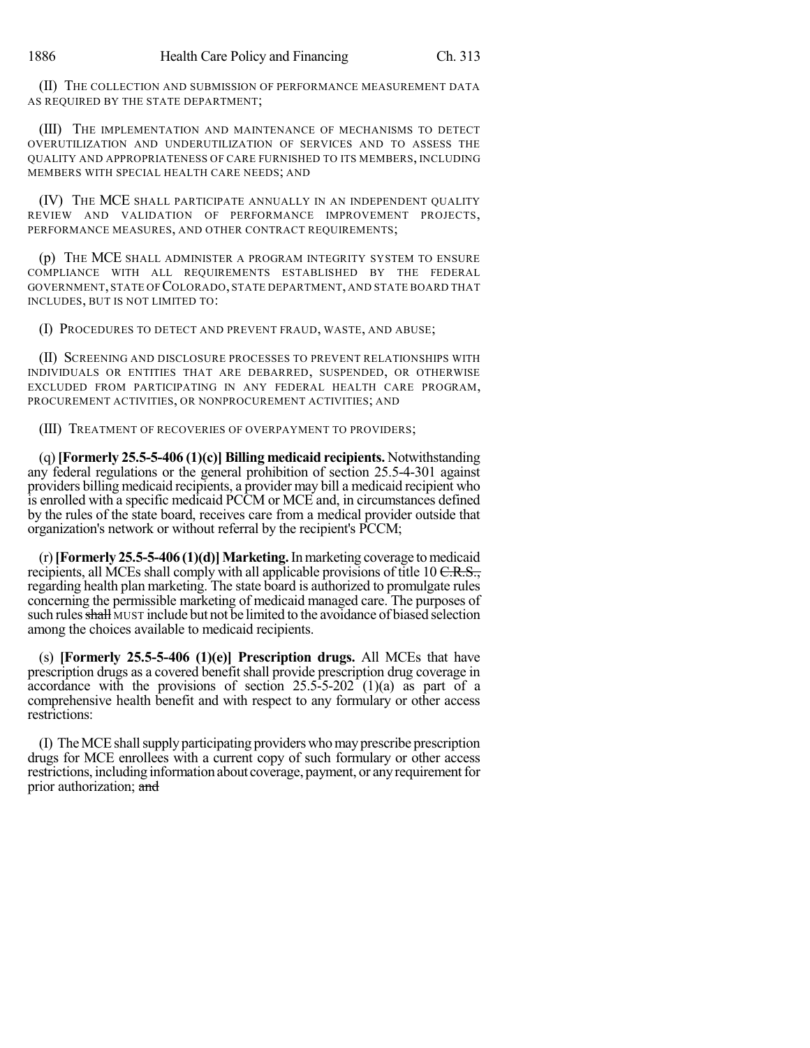(II) THE COLLECTION AND SUBMISSION OF PERFORMANCE MEASUREMENT DATA AS REQUIRED BY THE STATE DEPARTMENT;

(III) THE IMPLEMENTATION AND MAINTENANCE OF MECHANISMS TO DETECT OVERUTILIZATION AND UNDERUTILIZATION OF SERVICES AND TO ASSESS THE QUALITY AND APPROPRIATENESS OF CARE FURNISHED TO ITS MEMBERS, INCLUDING MEMBERS WITH SPECIAL HEALTH CARE NEEDS; AND

(IV) THE MCE SHALL PARTICIPATE ANNUALLY IN AN INDEPENDENT QUALITY REVIEW AND VALIDATION OF PERFORMANCE IMPROVEMENT PROJECTS, PERFORMANCE MEASURES, AND OTHER CONTRACT REQUIREMENTS;

(p) THE MCE SHALL ADMINISTER A PROGRAM INTEGRITY SYSTEM TO ENSURE COMPLIANCE WITH ALL REQUIREMENTS ESTABLISHED BY THE FEDERAL GOVERNMENT, STATE OF COLORADO, STATE DEPARTMENT, AND STATE BOARD THAT INCLUDES, BUT IS NOT LIMITED TO:

(I) PROCEDURES TO DETECT AND PREVENT FRAUD, WASTE, AND ABUSE;

(II) SCREENING AND DISCLOSURE PROCESSES TO PREVENT RELATIONSHIPS WITH INDIVIDUALS OR ENTITIES THAT ARE DEBARRED, SUSPENDED, OR OTHERWISE EXCLUDED FROM PARTICIPATING IN ANY FEDERAL HEALTH CARE PROGRAM, PROCUREMENT ACTIVITIES, OR NONPROCUREMENT ACTIVITIES; AND

(III) TREATMENT OF RECOVERIES OF OVERPAYMENT TO PROVIDERS;

(q)**[Formerly 25.5-5-406 (1)(c)] Billing medicaid recipients.** Notwithstanding any federal regulations or the general prohibition of section 25.5-4-301 against providers billing medicaid recipients, a provider may bill a medicaid recipient who is enrolled with a specific medicaid PCCM or MCE and, in circumstances defined by the rules of the state board, receives care from a medical provider outside that organization's network or without referral by the recipient's PCCM;

 $(r)$  [Formerly 25.5-5-406  $(1)(d)$ ] Marketing. In marketing coverage to medicaid recipients, all MCEs shall comply with all applicable provisions of title 10 C.R.S., regarding health plan marketing. The state board is authorized to promulgate rules concerning the permissible marketing of medicaid managed care. The purposes of such rules shall MUST include but not be limited to the avoidance of biased selection among the choices available to medicaid recipients.

(s) **[Formerly 25.5-5-406 (1)(e)] Prescription drugs.** All MCEs that have prescription drugs as a covered benefit shall provide prescription drug coverage in accordance with the provisions of section  $25.5-5-202$  (1)(a) as part of a comprehensive health benefit and with respect to any formulary or other access restrictions:

(I) TheMCEshallsupplyparticipating providerswhomayprescribe prescription drugs for MCE enrollees with a current copy of such formulary or other access restrictions, including information about coverage, payment, or anyrequirementfor prior authorization; and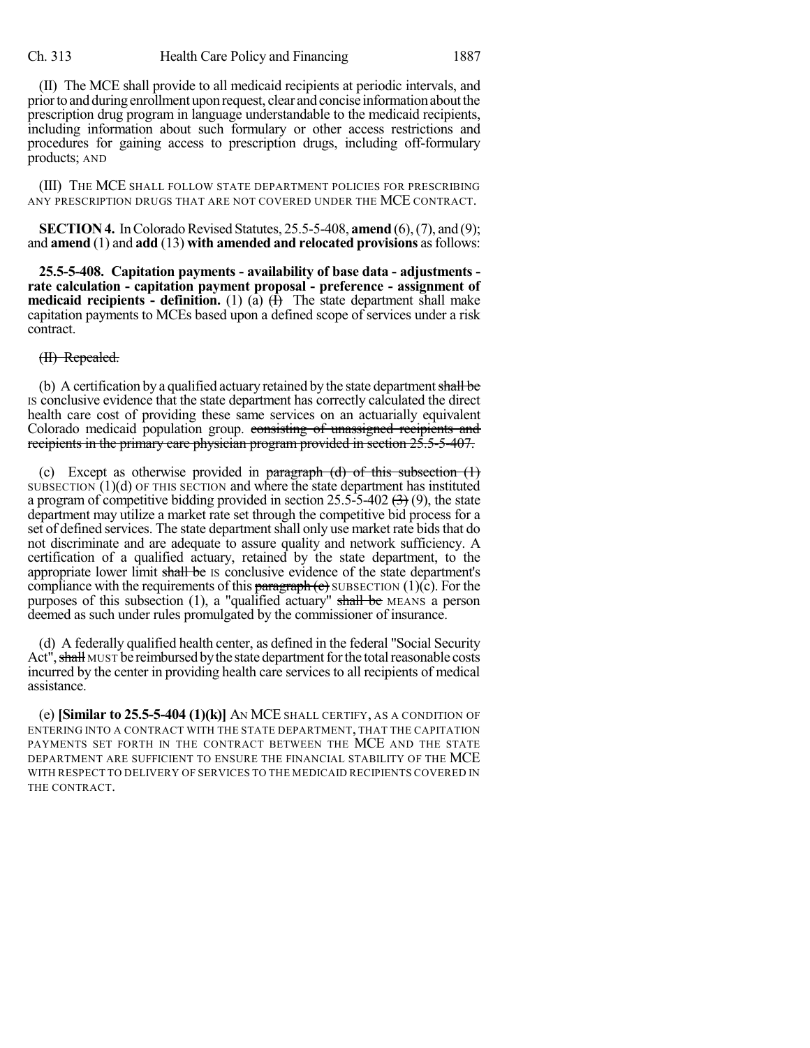(II) The MCE shall provide to all medicaid recipients at periodic intervals, and priortoandduringenrollment upon request, clear andconcise informationaboutthe prescription drug program in language understandable to the medicaid recipients, including information about such formulary or other access restrictions and procedures for gaining access to prescription drugs, including off-formulary products; AND

(III) THE MCE SHALL FOLLOW STATE DEPARTMENT POLICIES FOR PRESCRIBING ANY PRESCRIPTION DRUGS THAT ARE NOT COVERED UNDER THE MCE CONTRACT.

**SECTION 4.** In Colorado Revised Statutes, 25.5-5-408, **amend** (6), (7), and (9); and **amend** (1) and **add** (13) **with amended and relocated provisions** asfollows:

**25.5-5-408. Capitation payments - availability of base data - adjustments rate calculation - capitation payment proposal - preference - assignment of medicaid recipients - definition.** (1) (a)  $(\overline{f})$  The state department shall make capitation payments to MCEs based upon a defined scope of services under a risk contract.

(II) Repealed.

(b) A certification by a qualified actuary retained by the state department shall be IS conclusive evidence that the state department has correctly calculated the direct health care cost of providing these same services on an actuarially equivalent Colorado medicaid population group. consisting of unassigned recipients and recipients in the primary care physician program provided in section 25.5-5-407.

(c) Except as otherwise provided in paragraph  $(d)$  of this subsection  $(1)$ SUBSECTION  $(1)(d)$  OF THIS SECTION and where the state department has instituted a program of competitive bidding provided in section 25.5-5-402  $(3)$  (9), the state department may utilize a market rate set through the competitive bid process for a set of defined services. The state department shall only use market rate bids that do not discriminate and are adequate to assure quality and network sufficiency. A certification of a qualified actuary, retained by the state department, to the appropriate lower limit shall be IS conclusive evidence of the state department's compliance with the requirements of this **paragraph** (c) SUBSECTION (1)(c). For the purposes of this subsection  $(1)$ , a "qualified actuary" shall be MEANS a person deemed as such under rules promulgated by the commissioner of insurance.

(d) A federally qualified health center, as defined in the federal "Social Security Act", shall MUST be reimbursed by the state department for the total reasonable costs incurred by the center in providing health care services to all recipients of medical assistance.

(e) **[Similar to 25.5-5-404 (1)(k)]** AN MCE SHALL CERTIFY, AS A CONDITION OF ENTERING INTO A CONTRACT WITH THE STATE DEPARTMENT, THAT THE CAPITATION PAYMENTS SET FORTH IN THE CONTRACT BETWEEN THE MCE AND THE STATE DEPARTMENT ARE SUFFICIENT TO ENSURE THE FINANCIAL STABILITY OF THE MCE WITH RESPECT TO DELIVERY OF SERVICES TO THE MEDICAID RECIPIENTS COVERED IN THE CONTRACT.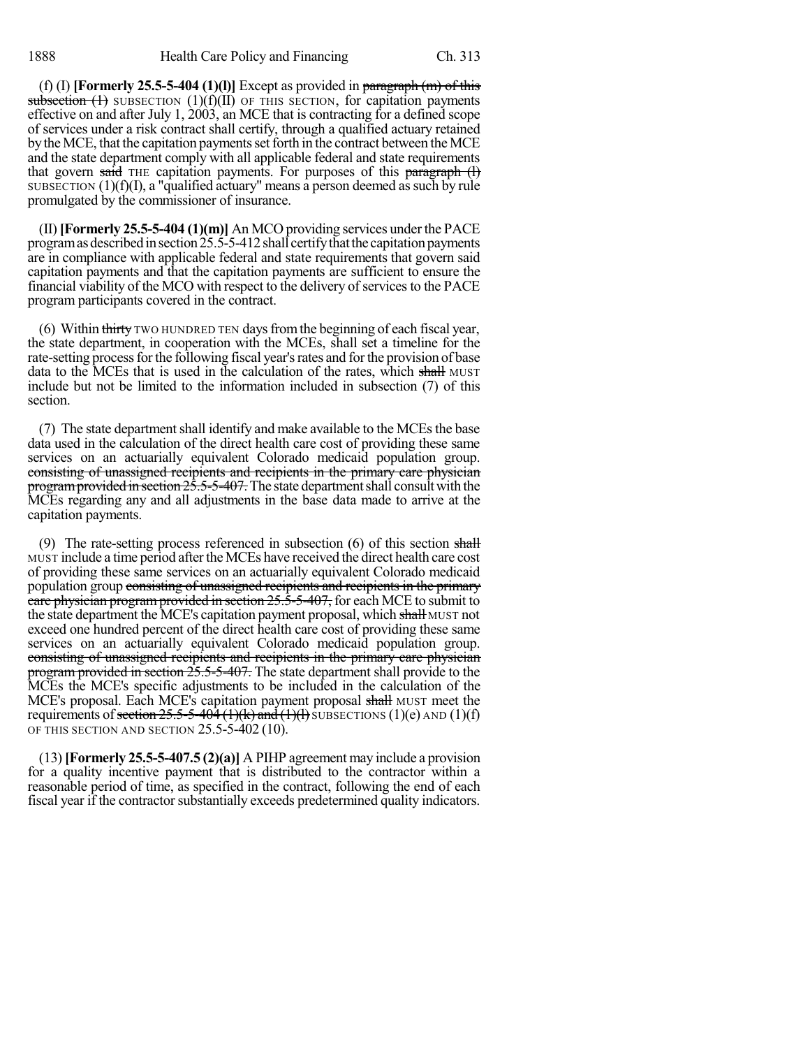(f) (I) **[Formerly 25.5-5-404 (1)(l)]** Except as provided in paragraph (m) of this subsection  $(1)$  SUBSECTION  $(1)(f)(II)$  OF THIS SECTION, for capitation payments effective on and after July 1, 2003, an MCE that is contracting for a defined scope of services under a risk contract shall certify, through a qualified actuary retained by the MCE, that the capitation payments set forth in the contract between the MCE and the state department comply with all applicable federal and state requirements that govern said THE capitation payments. For purposes of this paragraph  $(l)$ SUBSECTION  $(1)(f)(I)$ , a "qualified actuary" means a person deemed as such by rule promulgated by the commissioner of insurance.

(II)**[Formerly 25.5-5-404 (1)(m)]** An MCO providing services under the PACE program as described in section  $25.5-5-412$  shall certify that the capitation payments are in compliance with applicable federal and state requirements that govern said capitation payments and that the capitation payments are sufficient to ensure the financial viability of the MCO with respect to the delivery of services to the PACE program participants covered in the contract.

(6) Within thirty TWO HUNDRED TEN days from the beginning of each fiscal year, the state department, in cooperation with the MCEs, shall set a timeline for the rate-setting process for the following fiscal year's rates and for the provision of base data to the MCEs that is used in the calculation of the rates, which shall MUST include but not be limited to the information included in subsection (7) of this section.

(7) The state department shall identify and make available to the MCEs the base data used in the calculation of the direct health care cost of providing these same services on an actuarially equivalent Colorado medicaid population group. consisting of unassigned recipients and recipients in the primary care physician program provided in section  $2\overline{5.5}$ -5-407. The state department shall consult with the MCEs regarding any and all adjustments in the base data made to arrive at the capitation payments.

(9) The rate-setting process referenced in subsection  $(6)$  of this section shall MUST include a time period afterthe MCEs have received the direct health care cost of providing these same services on an actuarially equivalent Colorado medicaid population group consisting of unassigned recipients and recipients in the primary care physician program provided in section 25.5-5-407, for each MCE to submit to the state department the MCE's capitation payment proposal, which shall MUST not exceed one hundred percent of the direct health care cost of providing these same services on an actuarially equivalent Colorado medicaid population group. consisting of unassigned recipients and recipients in the primary care physician program provided in section  $25.5-5-407$ . The state department shall provide to the MCEs the MCE's specific adjustments to be included in the calculation of the MCE's proposal. Each MCE's capitation payment proposal shall MUST meet the requirements of section  $25.5-5-404$  (1)(k) and (1)(f) SUBSECTIONS (1)(e) AND (1)(f) OF THIS SECTION AND SECTION 25.5-5-402 (10).

(13) **[Formerly 25.5-5-407.5 (2)(a)]** A PIHP agreement may include a provision for a quality incentive payment that is distributed to the contractor within a reasonable period of time, as specified in the contract, following the end of each fiscal year if the contractor substantially exceeds predetermined quality indicators.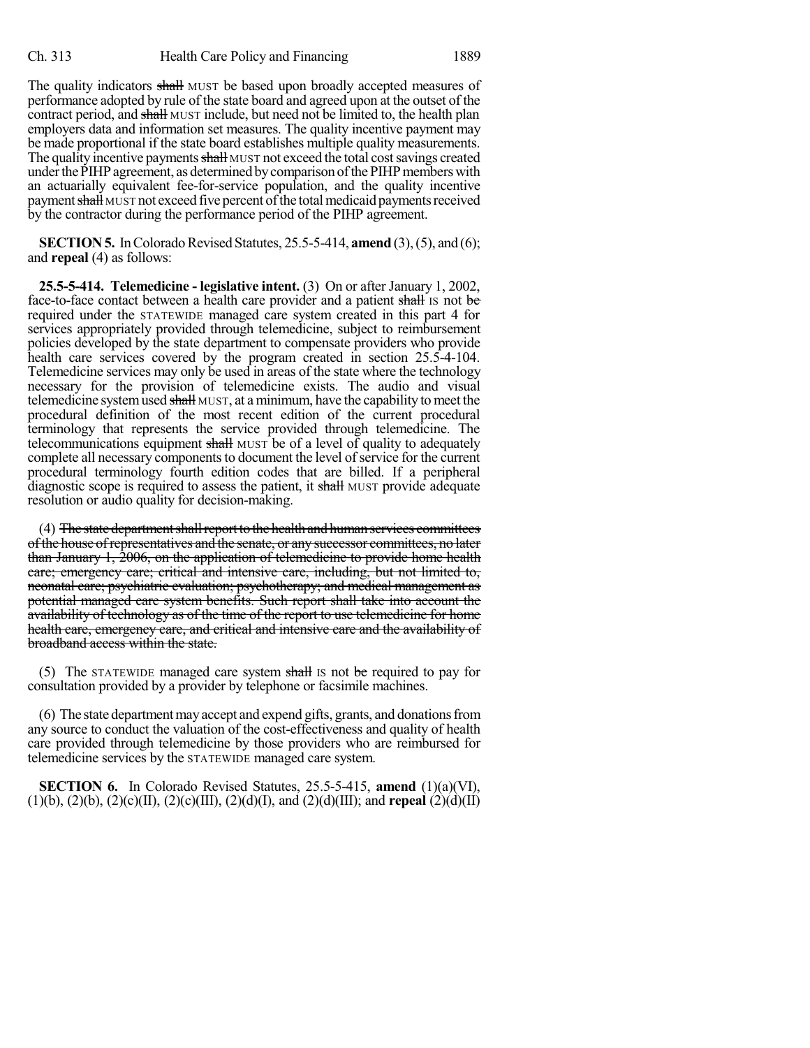The quality indicators shall MUST be based upon broadly accepted measures of performance adopted by rule of the state board and agreed upon at the outset of the contract period, and shall MUST include, but need not be limited to, the health plan employers data and information set measures. The quality incentive payment may be made proportional if the state board establishes multiple quality measurements. The quality incentive payments shall MUST not exceed the total cost savings created under the PIHP agreement, as determined by comparison of the PIHP members with an actuarially equivalent fee-for-service population, and the quality incentive payment shall MUST not exceed five percent of the total medicaid payments received by the contractor during the performance period of the PIHP agreement.

**SECTION 5.** In Colorado Revised Statutes, 25.5-5-414, **amend** (3), (5), and (6); and **repeal** (4) as follows:

**25.5-5-414. Telemedicine - legislative intent.** (3) On or after January 1, 2002, face-to-face contact between a health care provider and a patient shall is not be required under the STATEWIDE managed care system created in this part 4 for services appropriately provided through telemedicine, subject to reimbursement policies developed by the state department to compensate providers who provide health care services covered by the program created in section 25.5-4-104. Telemedicine services may only be used in areas of the state where the technology necessary for the provision of telemedicine exists. The audio and visual telemedicine system used shall MUST, at a minimum, have the capability to meet the procedural definition of the most recent edition of the current procedural terminology that represents the service provided through telemedicine. The telecommunications equipment shall MUST be of a level of quality to adequately complete all necessary components to document the level of service for the current procedural terminology fourth edition codes that are billed. If a peripheral diagnostic scope is required to assess the patient, it shall MUST provide adequate resolution or audio quality for decision-making.

(4) The state department shall report to the health and human services committees ofthe house ofrepresentatives and the senate, or any successor committees, no later than January 1, 2006, on the application of telemedicine to provide home health care; emergency care; critical and intensive care, including, but not limited to, neonatal care; psychiatric evaluation; psychotherapy; and medical management as potential managed care system benefits. Such report shall take into account the availability of technology as of the time of the report to use telemedicine for home health care, emergency care, and critical and intensive care and the availability of broadband access within the state.

(5) The STATEWIDE managed care system shall is not be required to pay for consultation provided by a provider by telephone or facsimile machines.

(6) The state departmentmayaccept and expend gifts, grants, and donationsfrom any source to conduct the valuation of the cost-effectiveness and quality of health care provided through telemedicine by those providers who are reimbursed for telemedicine services by the STATEWIDE managed care system.

**SECTION 6.** In Colorado Revised Statutes, 25.5-5-415, **amend** (1)(a)(VI), (1)(b), (2)(b), (2)(c)(II), (2)(c)(III), (2)(d)(I), and (2)(d)(III); and **repeal** (2)(d)(II)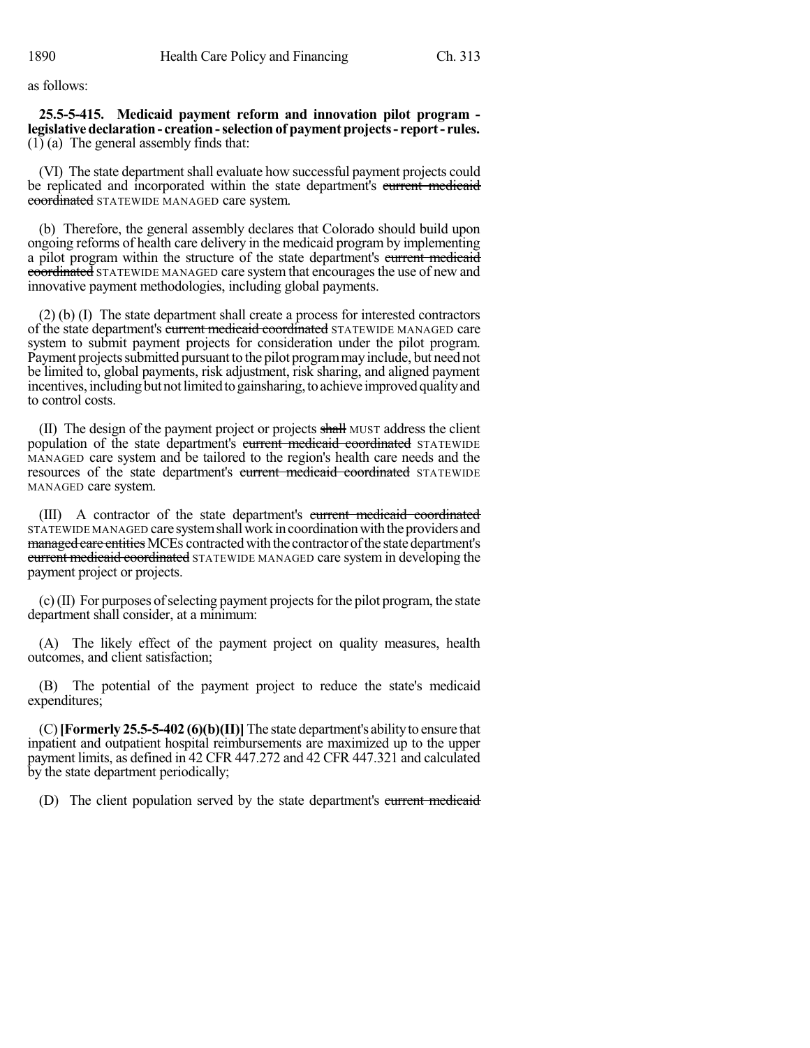as follows:

**25.5-5-415. Medicaid payment reform and innovation pilot program legislativedeclaration- creation-selection of paymentprojects- report- rules.** (1) (a) The general assembly finds that:

(VI) The state department shall evaluate how successful payment projects could be replicated and incorporated within the state department's current medicaid coordinated STATEWIDE MANAGED care system.

(b) Therefore, the general assembly declares that Colorado should build upon ongoing reforms of health care delivery in the medicaid program by implementing a pilot program within the structure of the state department's current medicaid coordinated STATEWIDE MANAGED care system that encourages the use of new and innovative payment methodologies, including global payments.

(2) (b) (I) The state department shall create a process for interested contractors of the state department's current medicaid coordinated STATEWIDE MANAGED care system to submit payment projects for consideration under the pilot program. Payment projects submitted pursuant to the pilot program may include, but need not be limited to, global payments, risk adjustment, risk sharing, and aligned payment incentives, including but not limited to gainsharing, to achieve improved quality and to control costs.

(II) The design of the payment project or projects shall MUST address the client population of the state department's current medicaid coordinated STATEWIDE MANAGED care system and be tailored to the region's health care needs and the resources of the state department's current medicaid coordinated STATEWIDE MANAGED care system.

(III) A contractor of the state department's current medicaid coordinated STATEWIDE MANAGED care system shall work in coordination with the providers and managed care entities MCEs contracted with the contractor of the state department's **current medicaid coordinated** STATEWIDE MANAGED care system in developing the payment project or projects.

 $(c)$ (II) For purposes of selecting payment projects for the pilot program, the state department shall consider, at a minimum:

(A) The likely effect of the payment project on quality measures, health outcomes, and client satisfaction;

(B) The potential of the payment project to reduce the state's medicaid expenditures;

(C)**[Formerly 25.5-5-402 (6)(b)(II)]**The state department's abilityto ensure that inpatient and outpatient hospital reimbursements are maximized up to the upper payment limits, as defined in 42 CFR 447.272 and 42 CFR 447.321 and calculated by the state department periodically;

(D) The client population served by the state department's current medicaid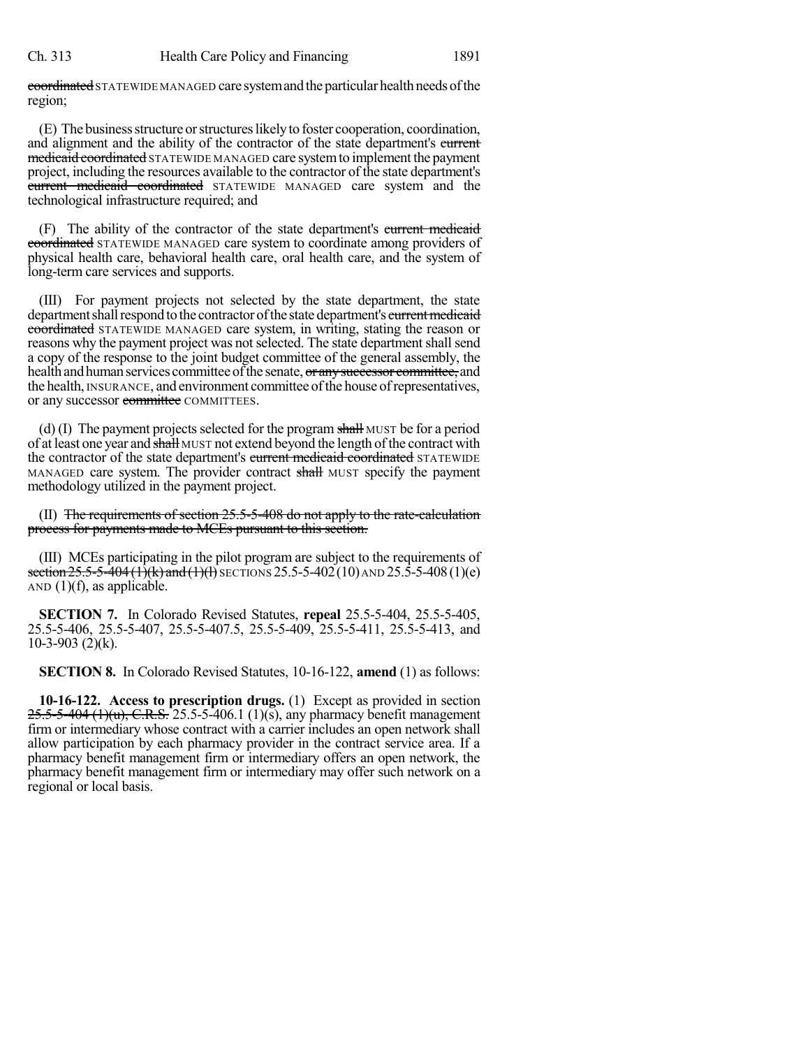coordinated STATEWIDE MANAGED care system and the particular health needs of the region;

(E) The businessstructure orstructureslikelyto foster cooperation, coordination, and alignment and the ability of the contractor of the state department's current medicaid coordinated STATEWIDE MANAGED care system to implement the payment project, including the resources available to the contractor of the state department's current medicaid coordinated STATEWIDE MANAGED care system and the technological infrastructure required; and

(F) The ability of the contractor of the state department's current medicaid coordinated STATEWIDE MANAGED care system to coordinate among providers of physical health care, behavioral health care, oral health care, and the system of long-term care services and supports.

(III) For payment projects not selected by the state department, the state department shall respond to the contractor of the state department's current medicaid coordinated STATEWIDE MANAGED care system, in writing, stating the reason or reasons why the payment project was not selected. The state department shall send a copy of the response to the joint budget committee of the general assembly, the health and human services committee of the senate, or any successor committee, and the health, INSURANCE, and environment committee of the house of representatives, or any successor committee COMMITTEES.

(d)  $(I)$  The payment projects selected for the program shall MUST be for a period of at least one year and shall MUST not extend beyond the length of the contract with the contractor of the state department's current medicaid coordinated STATEWIDE MANAGED care system. The provider contract shall MUST specify the payment methodology utilized in the payment project.

(II) The requirements of section  $25.5-5-408$  do not apply to the rate-calculation process for payments made to MCEs pursuant to this section.

(III) MCEs participating in the pilot program are subject to the requirements of section  $25.5-5-404$  (1)(k) and (1)(l) SECTIONS 25.5-5-402 (10) AND 25.5-5-408 (1)(e) AND  $(1)(f)$ , as applicable.

**SECTION 7.** In Colorado Revised Statutes, **repeal** 25.5-5-404, 25.5-5-405, 25.5-5-406, 25.5-5-407, 25.5-5-407.5, 25.5-5-409, 25.5-5-411, 25.5-5-413, and  $10-3-903$  (2)(k).

**SECTION 8.** In Colorado Revised Statutes, 10-16-122, **amend** (1) as follows:

**10-16-122. Access to prescription drugs.** (1) Except as provided in section  $25.5 - 5 - 404$  (1)(u), C.R.S. 25.5-5-406.1 (1)(s), any pharmacy benefit management firm or intermediary whose contract with a carrier includes an open network shall allow participation by each pharmacy provider in the contract service area. If a pharmacy benefit management firm or intermediary offers an open network, the pharmacy benefit management firm or intermediary may offer such network on a regional or local basis.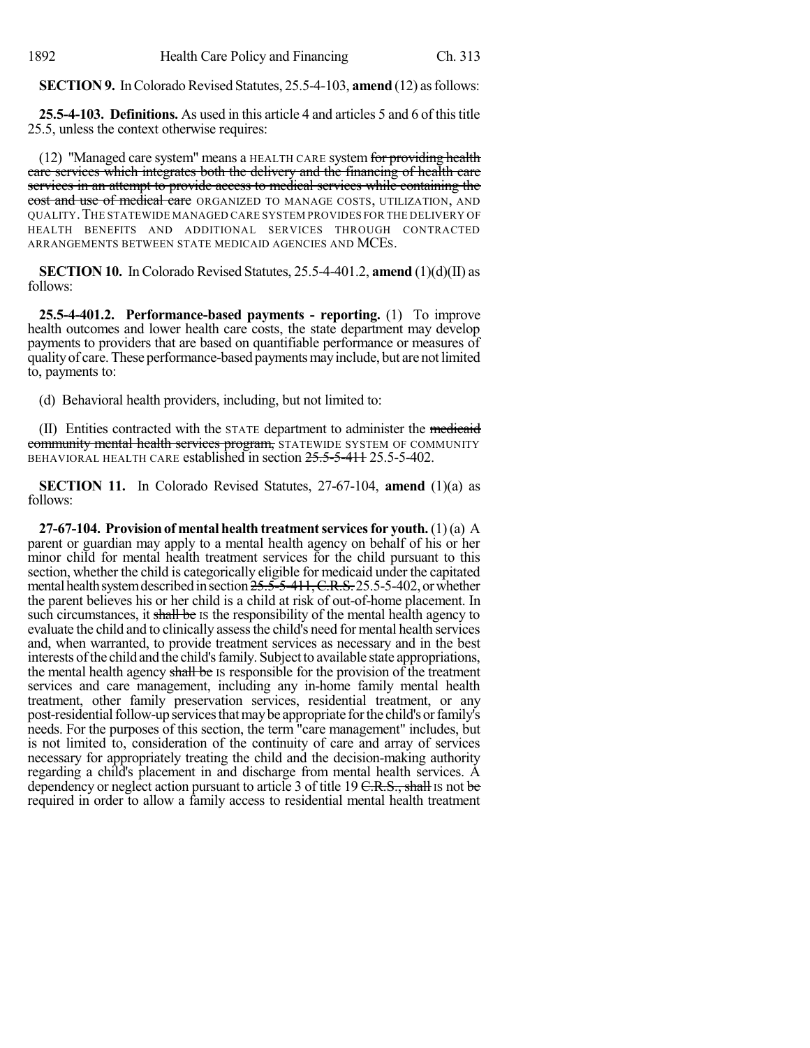**SECTION 9.** In Colorado Revised Statutes, 25.5-4-103, **amend** (12) as follows:

**25.5-4-103. Definitions.** As used in this article 4 and articles 5 and 6 of thistitle 25.5, unless the context otherwise requires:

(12) "Managed care system" means a HEALTH CARE system for providing health care services which integrates both the delivery and the financing of health care services in an attempt to provide access to medical services while containing the cost and use of medical care ORGANIZED TO MANAGE COSTS, UTILIZATION, AND QUALITY.THE STATEWIDE MANAGED CARE SYSTEM PROVIDES FOR THE DELIVERY OF HEALTH BENEFITS AND ADDITIONAL SERVICES THROUGH CONTRACTED ARRANGEMENTS BETWEEN STATE MEDICAID AGENCIES AND MCES.

**SECTION 10.** In Colorado Revised Statutes, 25.5-4-401.2, **amend** (1)(d)(II) as follows:

**25.5-4-401.2. Performance-based payments - reporting.** (1) To improve health outcomes and lower health care costs, the state department may develop payments to providers that are based on quantifiable performance or measures of qualityof care.These performance-based paymentsmayinclude, but are notlimited to, payments to:

(d) Behavioral health providers, including, but not limited to:

(II) Entities contracted with the STATE department to administer the medicaid community mental health services program, STATEWIDE SYSTEM OF COMMUNITY BEHAVIORAL HEALTH CARE established in section  $25.5-5-41+ 25.5-5-402$ .

**SECTION 11.** In Colorado Revised Statutes, 27-67-104, **amend** (1)(a) as follows:

**27-67-104. Provision of mental health treatment services for youth.** (1)(a) A parent or guardian may apply to a mental health agency on behalf of his or her minor child for mental health treatment services for the child pursuant to this section, whether the child is categorically eligible for medicaid under the capitated mental health system described in section  $25.5-5-411$ , C.R.S. 25.5-5-402, or whether the parent believes his or her child is a child at risk of out-of-home placement. In such circumstances, it shall be IS the responsibility of the mental health agency to evaluate the child and to clinically assess the child's need for mental health services and, when warranted, to provide treatment services as necessary and in the best interests of the child and the child's family. Subject to available state appropriations, the mental health agency shall be IS responsible for the provision of the treatment services and care management, including any in-home family mental health treatment, other family preservation services, residential treatment, or any post-residentialfollow-up servicesthatmaybe appropriate forthe child's orfamily's needs. For the purposes of this section, the term "care management" includes, but is not limited to, consideration of the continuity of care and array of services necessary for appropriately treating the child and the decision-making authority regarding a child's placement in and discharge from mental health services. A dependency or neglect action pursuant to article 3 of title 19 C.R.S., shall Is not be required in order to allow a family access to residential mental health treatment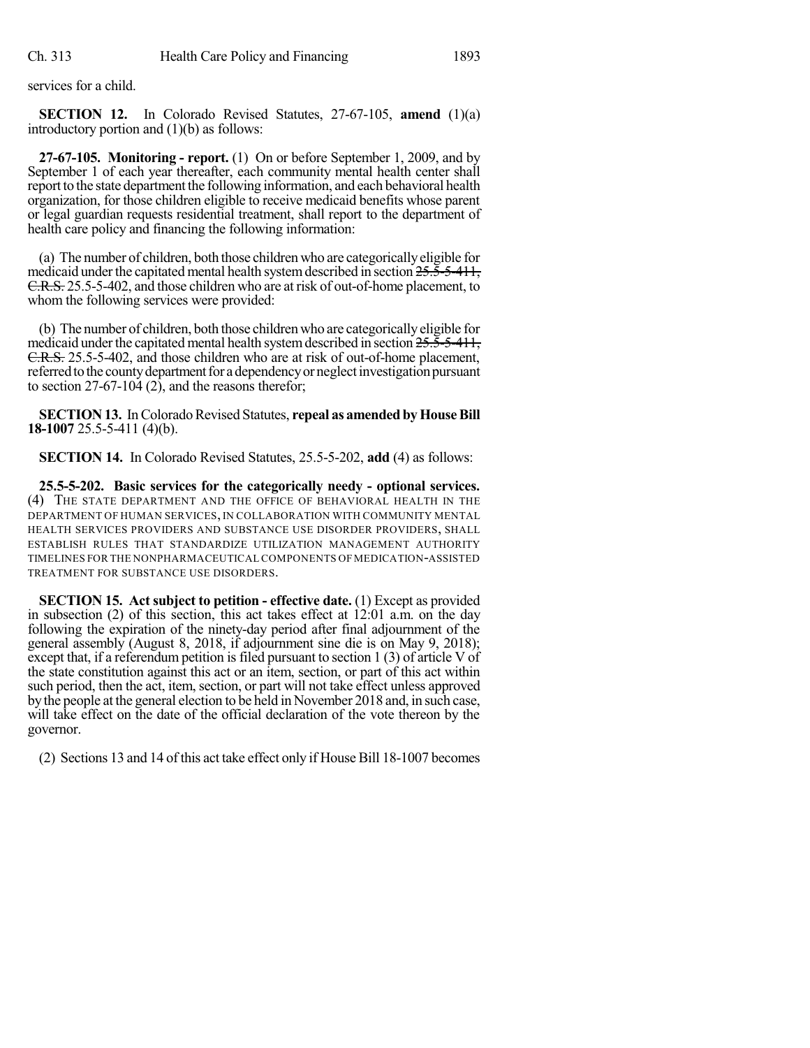services for a child.

**SECTION 12.** In Colorado Revised Statutes, 27-67-105, **amend** (1)(a) introductory portion and (1)(b) as follows:

**27-67-105. Monitoring - report.** (1) On or before September 1, 2009, and by September 1 of each year thereafter, each community mental health center shall report to the state department the following information, and each behavioral health organization, for those children eligible to receive medicaid benefits whose parent or legal guardian requests residential treatment, shall report to the department of health care policy and financing the following information:

(a) The number of children, both those children who are categoricallyeligible for medicaid under the capitated mental health system described in section  $25.5-5-411$ , C.R.S. 25.5-5-402, and those children who are at risk of out-of-home placement, to whom the following services were provided:

(b) The number of children, both those children who are categoricallyeligible for medicaid under the capitated mental health system described in section  $25.5-5-411$ , C.R.S. 25.5-5-402, and those children who are at risk of out-of-home placement, referred to the county department for a dependency or neglect investigation pursuant to section 27-67-104 (2), and the reasons therefor;

**SECTION 13.** In Colorado Revised Statutes, repeal as amended by House Bill **18-1007** 25.5-5-411 (4)(b).

**SECTION 14.** In Colorado Revised Statutes, 25.5-5-202, **add** (4) as follows:

**25.5-5-202. Basic services for the categorically needy - optional services.** (4) THE STATE DEPARTMENT AND THE OFFICE OF BEHAVIORAL HEALTH IN THE DEPARTMENT OF HUMAN SERVICES, IN COLLABORATION WITH COMMUNITY MENTAL HEALTH SERVICES PROVIDERS AND SUBSTANCE USE DISORDER PROVIDERS, SHALL ESTABLISH RULES THAT STANDARDIZE UTILIZATION MANAGEMENT AUTHORITY TIMELINES FOR THE NONPHARMACEUTICAL COMPONENTS OF MEDICATION-ASSISTED TREATMENT FOR SUBSTANCE USE DISORDERS.

**SECTION 15. Act subject to petition - effective date.** (1) Except as provided in subsection (2) of this section, this act takes effect at 12:01 a.m. on the day following the expiration of the ninety-day period after final adjournment of the general assembly (August 8, 2018, if adjournment sine die is on May 9, 2018); except that, if a referendum petition is filed pursuant to section  $1(3)$  of article V of the state constitution against this act or an item, section, or part of this act within such period, then the act, item, section, or part will not take effect unless approved by the people at the general election to be held in November 2018 and, in such case, will take effect on the date of the official declaration of the vote thereon by the governor.

(2) Sections 13 and 14 of this act take effect only if House Bill 18-1007 becomes